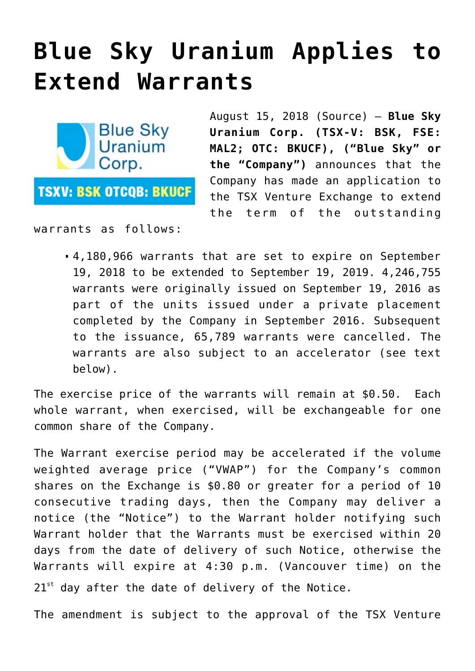## **[Blue Sky Uranium Applies to](https://investorintel.com/markets/uranium-energy/uranium-energy-news/blue-sky-uranium-applies-extend-warrants/) [Extend Warrants](https://investorintel.com/markets/uranium-energy/uranium-energy-news/blue-sky-uranium-applies-extend-warrants/)**



August 15, 2018 ([Source](https://investorintel.com/iintel-members/blue-sky-uranium-corp-2/)) — **Blue Sky Uranium Corp. (TSX-V: BSK, FSE: MAL2; OTC: BKUCF), ("Blue Sky" or the "Company")** announces that the Company has made an application to the TSX Venture Exchange to extend the term of the outstanding

warrants as follows:

4,180,966 warrants that are set to expire on September 19, 2018 to be extended to September 19, 2019. 4,246,755 warrants were originally issued on September 19, 2016 as part of the units issued under a private placement completed by the Company in September 2016. Subsequent to the issuance, 65,789 warrants were cancelled. The warrants are also subject to an accelerator (see text below).

The exercise price of the warrants will remain at \$0.50. Each whole warrant, when exercised, will be exchangeable for one common share of the Company.

The Warrant exercise period may be accelerated if the volume weighted average price ("VWAP") for the Company's common shares on the Exchange is \$0.80 or greater for a period of 10 consecutive trading days, then the Company may deliver a notice (the "Notice") to the Warrant holder notifying such Warrant holder that the Warrants must be exercised within 20 days from the date of delivery of such Notice, otherwise the Warrants will expire at 4:30 p.m. (Vancouver time) on the  $21<sup>st</sup>$  day after the date of delivery of the Notice.

The amendment is subject to the approval of the TSX Venture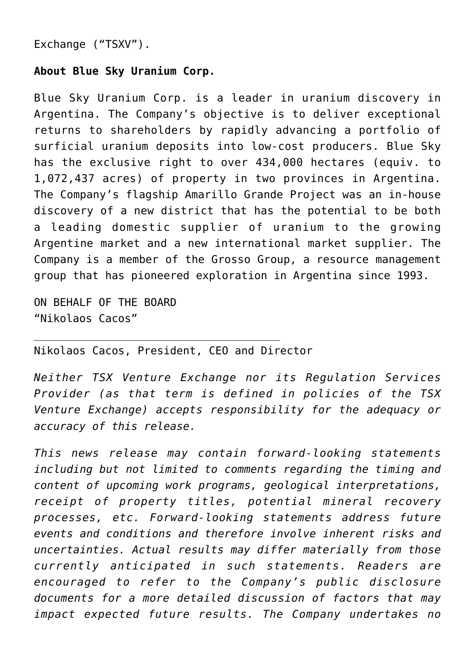Exchange ("TSXV").

## **About Blue Sky Uranium Corp.**

Blue Sky Uranium Corp. is a leader in uranium discovery in Argentina. The Company's objective is to deliver exceptional returns to shareholders by rapidly advancing a portfolio of surficial uranium deposits into low-cost producers. Blue Sky has the exclusive right to over 434,000 hectares (equiv. to 1,072,437 acres) of property in two provinces in Argentina. The Company's flagship Amarillo Grande Project was an in-house discovery of a new district that has the potential to be both a leading domestic supplier of uranium to the growing Argentine market and a new international market supplier. The Company is a member of the Grosso Group, a resource management group that has pioneered exploration in Argentina since 1993.

ON BEHALF OF THE BOARD "Nikolaos Cacos"

Nikolaos Cacos, President, CEO and Director

\_\_\_\_\_\_\_\_\_\_\_\_\_\_\_\_\_\_\_\_\_\_\_\_\_\_\_\_\_\_\_\_\_\_\_\_\_\_

*Neither TSX Venture Exchange nor its Regulation Services Provider (as that term is defined in policies of the TSX Venture Exchange) accepts responsibility for the adequacy or accuracy of this release.*

*This news release may contain forward-looking statements including but not limited to comments regarding the timing and content of upcoming work programs, geological interpretations, receipt of property titles, potential mineral recovery processes, etc. Forward-looking statements address future events and conditions and therefore involve inherent risks and uncertainties. Actual results may differ materially from those currently anticipated in such statements. Readers are encouraged to refer to the Company's public disclosure documents for a more detailed discussion of factors that may impact expected future results. The Company undertakes no*